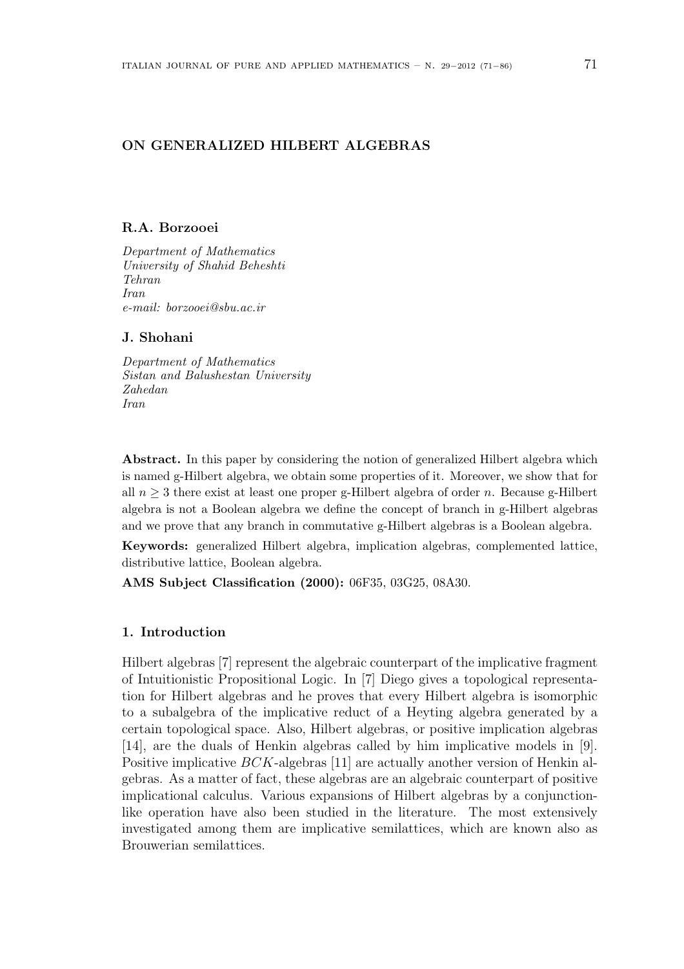# ON GENERALIZED HILBERT ALGEBRAS

#### R.A. Borzooei

Department of Mathematics University of Shahid Beheshti Tehran Iran e-mail: borzooei@sbu.ac.ir

#### J. Shohani

Department of Mathematics Sistan and Balushestan University Zahedan Iran

Abstract. In this paper by considering the notion of generalized Hilbert algebra which is named g-Hilbert algebra, we obtain some properties of it. Moreover, we show that for all  $n \geq 3$  there exist at least one proper g-Hilbert algebra of order n. Because g-Hilbert algebra is not a Boolean algebra we define the concept of branch in g-Hilbert algebras and we prove that any branch in commutative g-Hilbert algebras is a Boolean algebra.

Keywords: generalized Hilbert algebra, implication algebras, complemented lattice, distributive lattice, Boolean algebra.

AMS Subject Classification (2000): 06F35, 03G25, 08A30.

# 1. Introduction

Hilbert algebras [7] represent the algebraic counterpart of the implicative fragment of Intuitionistic Propositional Logic. In [7] Diego gives a topological representation for Hilbert algebras and he proves that every Hilbert algebra is isomorphic to a subalgebra of the implicative reduct of a Heyting algebra generated by a certain topological space. Also, Hilbert algebras, or positive implication algebras [14], are the duals of Henkin algebras called by him implicative models in [9]. Positive implicative BCK-algebras [11] are actually another version of Henkin algebras. As a matter of fact, these algebras are an algebraic counterpart of positive implicational calculus. Various expansions of Hilbert algebras by a conjunctionlike operation have also been studied in the literature. The most extensively investigated among them are implicative semilattices, which are known also as Brouwerian semilattices.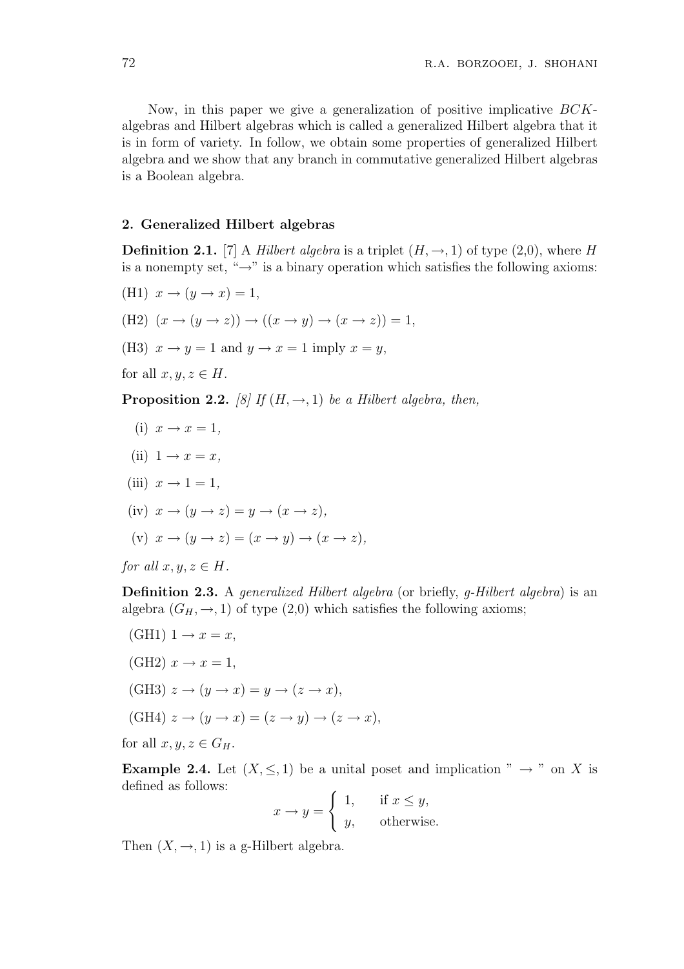Now, in this paper we give a generalization of positive implicative BCKalgebras and Hilbert algebras which is called a generalized Hilbert algebra that it is in form of variety. In follow, we obtain some properties of generalized Hilbert algebra and we show that any branch in commutative generalized Hilbert algebras is a Boolean algebra.

# 2. Generalized Hilbert algebras

**Definition 2.1.** [7] A *Hilbert algebra* is a triplet  $(H, \rightarrow, 1)$  of type (2,0), where H is a nonempty set, " $\rightarrow$ " is a binary operation which satisfies the following axioms:

- (H1)  $x \rightarrow (y \rightarrow x) = 1$ ,
- (H2)  $(x \rightarrow (y \rightarrow z)) \rightarrow ((x \rightarrow y) \rightarrow (x \rightarrow z)) = 1$ ,
- (H3)  $x \rightarrow y = 1$  and  $y \rightarrow x = 1$  imply  $x = y$ ,

for all  $x, y, z \in H$ .

**Proposition 2.2.** [8] If  $(H, \rightarrow, 1)$  be a Hilbert algebra, then,

- (i)  $x \rightarrow x = 1$ ,
- (ii)  $1 \rightarrow x = x$ ,
- (iii)  $x \rightarrow 1 = 1$ ,
- (iv)  $x \to (y \to z) = y \to (x \to z)$ ,

(v) 
$$
x \to (y \to z) = (x \to y) \to (x \to z),
$$

for all  $x, y, z \in H$ .

Definition 2.3. A generalized Hilbert algebra (or briefly, g-Hilbert algebra) is an algebra  $(G_H, \rightarrow, 1)$  of type  $(2,0)$  which satisfies the following axioms;

- $(GH1)$  1  $\rightarrow$   $x = x$ ,  $(GH2)$   $x \rightarrow x = 1$ ,
- (GH3)  $z \to (y \to x) = y \to (z \to x)$ ,

$$
(\text{GH4}) \ z \to (y \to x) = (z \to y) \to (z \to x),
$$

for all  $x, y, z \in G_H$ .

**Example 2.4.** Let  $(X, \leq, 1)$  be a unital poset and implication "  $\rightarrow$  " on X is defined as follows:  $\overline{a}$ 

$$
x \to y = \begin{cases} 1, & \text{if } x \le y, \\ y, & \text{otherwise.} \end{cases}
$$

Then  $(X, \rightarrow, 1)$  is a g-Hilbert algebra.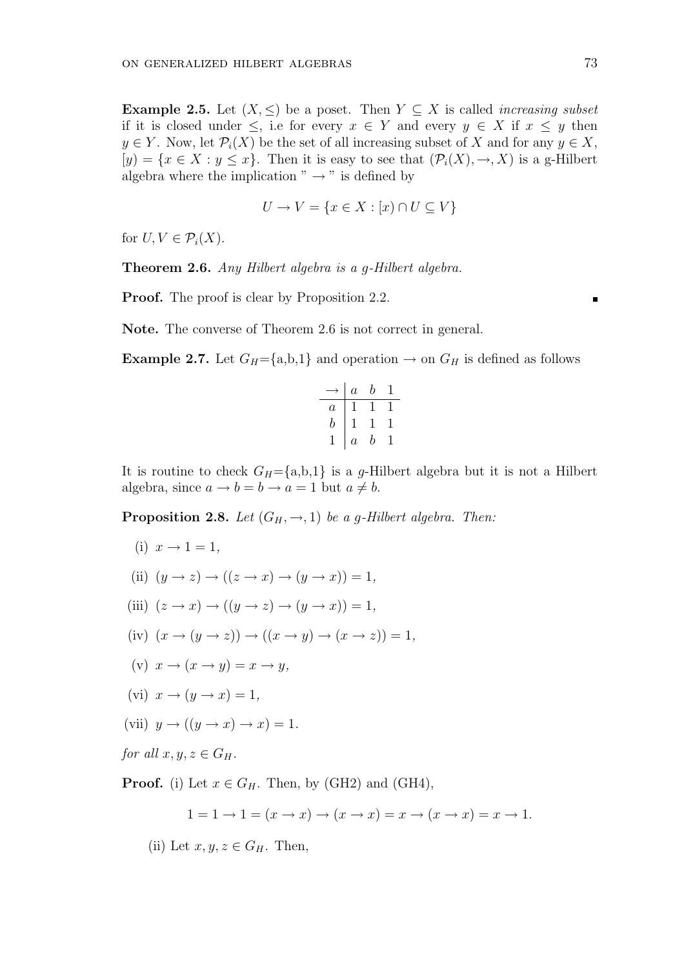Example 2.5. Let  $(X, \leq)$  be a poset. Then  $Y \subseteq X$  is called *increasing subset* if it is closed under  $\leq$ , i.e for every  $x \in Y$  and every  $y \in X$  if  $x \leq y$  then  $y \in Y$ . Now, let  $\mathcal{P}_i(X)$  be the set of all increasing subset of X and for any  $y \in X$ ,  $[y] = \{x \in X : y \leq x\}.$  Then it is easy to see that  $(\mathcal{P}_i(X), \to, X)$  is a g-Hilbert algebra where the implication " $\rightarrow$ " is defined by

$$
U \to V = \{ x \in X : [x) \cap U \subseteq V \}
$$

for  $U, V \in \mathcal{P}_i(X)$ .

Theorem 2.6. Any Hilbert algebra is a g-Hilbert algebra.

Proof. The proof is clear by Proposition 2.2.

Note. The converse of Theorem 2.6 is not correct in general.

**Example 2.7.** Let  $G_H = \{a,b,1\}$  and operation  $\rightarrow$  on  $G_H$  is defined as follows

|                | $\overline{a}$ | b |  |
|----------------|----------------|---|--|
| $\overline{a}$ |                |   |  |
| b              |                |   |  |
|                | $\overline{a}$ | b |  |

It is routine to check  $G_H = \{a,b,1\}$  is a g-Hilbert algebra but it is not a Hilbert algebra, since  $a \to b = b \to a = 1$  but  $a \neq b$ .

**Proposition 2.8.** Let  $(G_H, \rightarrow, 1)$  be a g-Hilbert algebra. Then:

- (i)  $x \rightarrow 1 = 1$ ,
- (ii)  $(y \rightarrow z) \rightarrow ((z \rightarrow x) \rightarrow (y \rightarrow x)) = 1$ ,
- (iii)  $(z \rightarrow x) \rightarrow ((y \rightarrow z) \rightarrow (y \rightarrow x)) = 1$ ,
- (iv)  $(x \rightarrow (y \rightarrow z)) \rightarrow ((x \rightarrow y) \rightarrow (x \rightarrow z)) = 1$ ,
- (v)  $x \rightarrow (x \rightarrow y) = x \rightarrow y$ ,
- (vi)  $x \rightarrow (y \rightarrow x) = 1$ ,
- (vii)  $y \rightarrow ((y \rightarrow x) \rightarrow x) = 1$ .

for all  $x, y, z \in G_H$ .

**Proof.** (i) Let  $x \in G_H$ . Then, by (GH2) and (GH4),

$$
1 = 1 \to 1 = (x \to x) \to (x \to x) = x \to (x \to x) = x \to 1.
$$

(ii) Let  $x, y, z \in G_H$ . Then,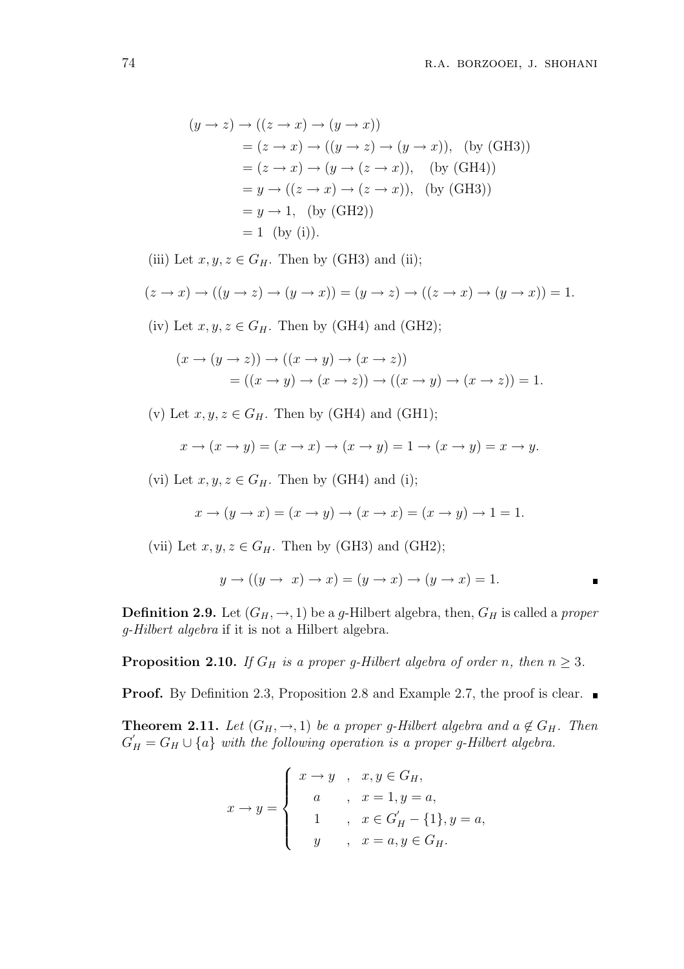$$
(y \to z) \to ((z \to x) \to (y \to x))
$$
  
=  $(z \to x) \to ((y \to z) \to (y \to x))$ , (by (GH3))  
=  $(z \to x) \to (y \to (z \to x))$ , (by (GH4))  
=  $y \to ((z \to x) \to (z \to x))$ , (by (GH3))  
=  $y \to 1$ , (by (GH2))  
= 1 (by (i)).

(iii) Let  $x, y, z \in G_H$ . Then by (GH3) and (ii);

$$
(z \to x) \to ((y \to z) \to (y \to x)) = (y \to z) \to ((z \to x) \to (y \to x)) = 1.
$$

(iv) Let  $x, y, z \in G_H$ . Then by (GH4) and (GH2);

$$
(x \to (y \to z)) \to ((x \to y) \to (x \to z))
$$
  
= ((x \to y) \to (x \to z)) \to ((x \to y) \to (x \to z)) = 1.

(v) Let  $x, y, z \in G_H$ . Then by (GH4) and (GH1);

$$
x \to (x \to y) = (x \to x) \to (x \to y) = 1 \to (x \to y) = x \to y.
$$

(vi) Let  $x, y, z \in G_H$ . Then by (GH4) and (i);

$$
x \to (y \to x) = (x \to y) \to (x \to x) = (x \to y) \to 1 = 1.
$$

(vii) Let  $x, y, z \in G_H$ . Then by (GH3) and (GH2);

$$
y \to ((y \to x) \to x) = (y \to x) \to (y \to x) = 1.
$$

**Definition 2.9.** Let  $(G_H, \rightarrow, 1)$  be a g-Hilbert algebra, then,  $G_H$  is called a proper g-Hilbert algebra if it is not a Hilbert algebra.

**Proposition 2.10.** If  $G_H$  is a proper g-Hilbert algebra of order n, then  $n \geq 3$ .

**Proof.** By Definition 2.3, Proposition 2.8 and Example 2.7, the proof is clear. ■

**Theorem 2.11.** Let  $(G_H, \rightarrow, 1)$  be a proper g-Hilbert algebra and  $a \notin G_H$ . Then  $G'_H = G_H \cup \{a\}$  with the following operation is a proper g-Hilbert algebra.

$$
x \to y = \begin{cases} x \to y, & x, y \in G_H, \\ a, & x = 1, y = a, \\ 1, & x \in G'_H - \{1\}, y = a, \\ y, & x = a, y \in G_H. \end{cases}
$$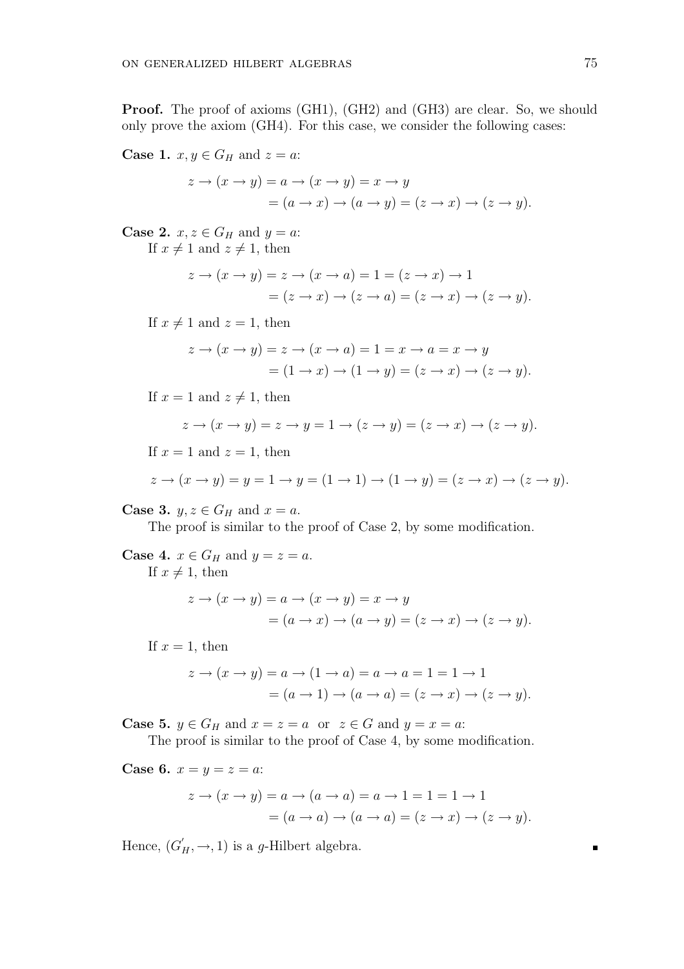**Proof.** The proof of axioms (GH1), (GH2) and (GH3) are clear. So, we should only prove the axiom (GH4). For this case, we consider the following cases:

**Case 1.**  $x, y \in G_H$  and  $z = a$ :

$$
z \to (x \to y) = a \to (x \to y) = x \to y
$$
  
=  $(a \to x) \to (a \to y) = (z \to x) \to (z \to y).$ 

**Case 2.**  $x, z \in G_H$  and  $y = a$ : If  $x \neq 1$  and  $z \neq 1$ , then

$$
z \to (x \to y) = z \to (x \to a) = 1 = (z \to x) \to 1
$$

$$
= (z \to x) \to (z \to a) = (z \to x) \to (z \to y).
$$

If  $x \neq 1$  and  $z = 1$ , then

$$
z \to (x \to y) = z \to (x \to a) = 1 = x \to a = x \to y
$$

$$
= (1 \to x) \to (1 \to y) = (z \to x) \to (z \to y).
$$

If  $x = 1$  and  $z \neq 1$ , then

$$
z \to (x \to y) = z \to y = 1 \to (z \to y) = (z \to x) \to (z \to y).
$$

If  $x = 1$  and  $z = 1$ , then

$$
z \to (x \to y) = y = 1 \to y = (1 \to 1) \to (1 \to y) = (z \to x) \to (z \to y).
$$

**Case 3.**  $y, z \in G_H$  and  $x = a$ .

The proof is similar to the proof of Case 2, by some modification.

**Case 4.**  $x \in G_H$  and  $y = z = a$ .

If  $x \neq 1$ , then

$$
z \to (x \to y) = a \to (x \to y) = x \to y
$$
  
=  $(a \to x) \to (a \to y) = (z \to x) \to (z \to y).$ 

If  $x = 1$ , then

$$
z \to (x \to y) = a \to (1 \to a) = a \to a = 1 = 1 \to 1
$$

$$
= (a \to 1) \to (a \to a) = (z \to x) \to (z \to y).
$$

**Case 5.**  $y \in G_H$  and  $x = z = a$  or  $z \in G$  and  $y = x = a$ :

The proof is similar to the proof of Case 4, by some modification.

**Case 6.**  $x = y = z = a$ :

$$
z \to (x \to y) = a \to (a \to a) = a \to 1 = 1 = 1 \to 1
$$

$$
= (a \to a) \to (a \to a) = (z \to x) \to (z \to y).
$$

Hence,  $(G'_H, \rightarrow, 1)$  is a g-Hilbert algebra.

 $\blacksquare$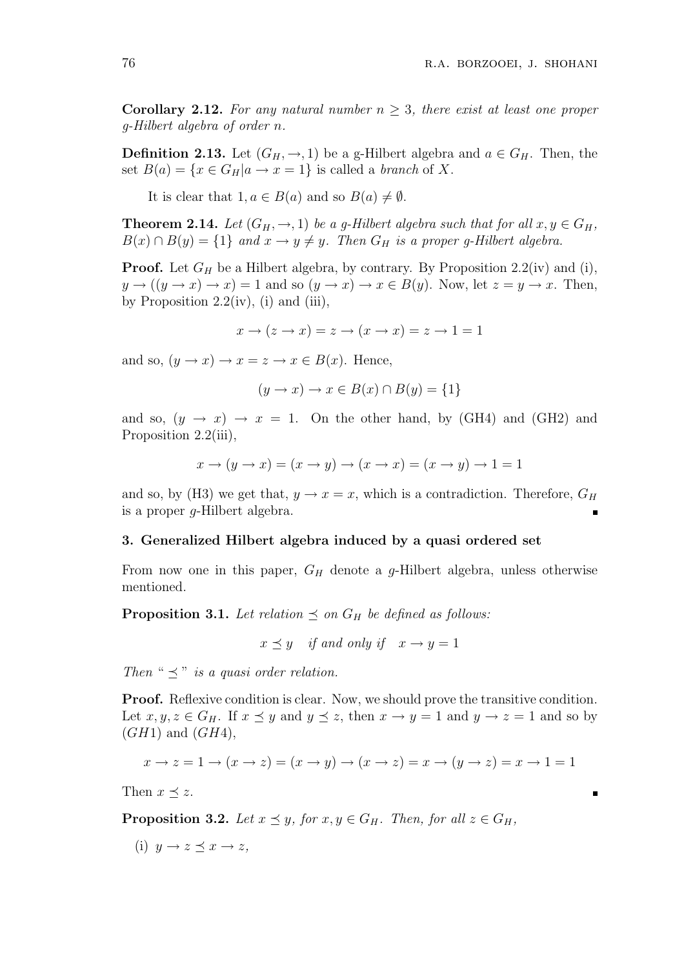**Corollary 2.12.** For any natural number  $n \geq 3$ , there exist at least one proper g-Hilbert algebra of order n.

**Definition 2.13.** Let  $(G_H, \rightarrow, 1)$  be a g-Hilbert algebra and  $a \in G_H$ . Then, the set  $B(a) = \{x \in G_H | a \to x = 1\}$  is called a branch of X.

It is clear that  $1, a \in B(a)$  and so  $B(a) \neq \emptyset$ .

**Theorem 2.14.** Let  $(G_H, \rightarrow, 1)$  be a g-Hilbert algebra such that for all  $x, y \in G_H$ ,  $B(x) \cap B(y) = \{1\}$  and  $x \to y \neq y$ . Then  $G_H$  is a proper g-Hilbert algebra.

**Proof.** Let  $G_H$  be a Hilbert algebra, by contrary. By Proposition 2.2(iv) and (i),  $y \to ((y \to x) \to x) = 1$  and so  $(y \to x) \to x \in B(y)$ . Now, let  $z = y \to x$ . Then, by Proposition  $2.2(iv)$ , (i) and (iii),

$$
x \to (z \to x) = z \to (x \to x) = z \to 1 = 1
$$

and so,  $(y \rightarrow x) \rightarrow x = z \rightarrow x \in B(x)$ . Hence,

$$
(y \to x) \to x \in B(x) \cap B(y) = \{1\}
$$

and so,  $(y \rightarrow x) \rightarrow x = 1$ . On the other hand, by (GH4) and (GH2) and Proposition 2.2(iii),

$$
x\rightarrow (y\rightarrow x)=(x\rightarrow y)\rightarrow (x\rightarrow x)=(x\rightarrow y)\rightarrow 1=1
$$

and so, by (H3) we get that,  $y \to x = x$ , which is a contradiction. Therefore,  $G_H$ is a proper g-Hilbert algebra.

# 3. Generalized Hilbert algebra induced by a quasi ordered set

From now one in this paper,  $G_H$  denote a g-Hilbert algebra, unless otherwise mentioned.

**Proposition 3.1.** Let relation  $\preceq$  on  $G_H$  be defined as follows:

$$
x \preceq y \quad \text{if and only if} \quad x \to y = 1
$$

Then "  $\preceq$ " is a quasi order relation.

Proof. Reflexive condition is clear. Now, we should prove the transitive condition. Let  $x, y, z \in G_H$ . If  $x \preceq y$  and  $y \preceq z$ , then  $x \to y = 1$  and  $y \to z = 1$  and so by  $(GH1)$  and  $(GH4)$ ,

$$
x \to z = 1 \to (x \to z) = (x \to y) \to (x \to z) = x \to (y \to z) = x \to 1 = 1
$$

Then  $x \preceq z$ .

**Proposition 3.2.** Let  $x \preceq y$ , for  $x, y \in G_H$ . Then, for all  $z \in G_H$ ,

(i) 
$$
y \to z \preceq x \to z
$$
,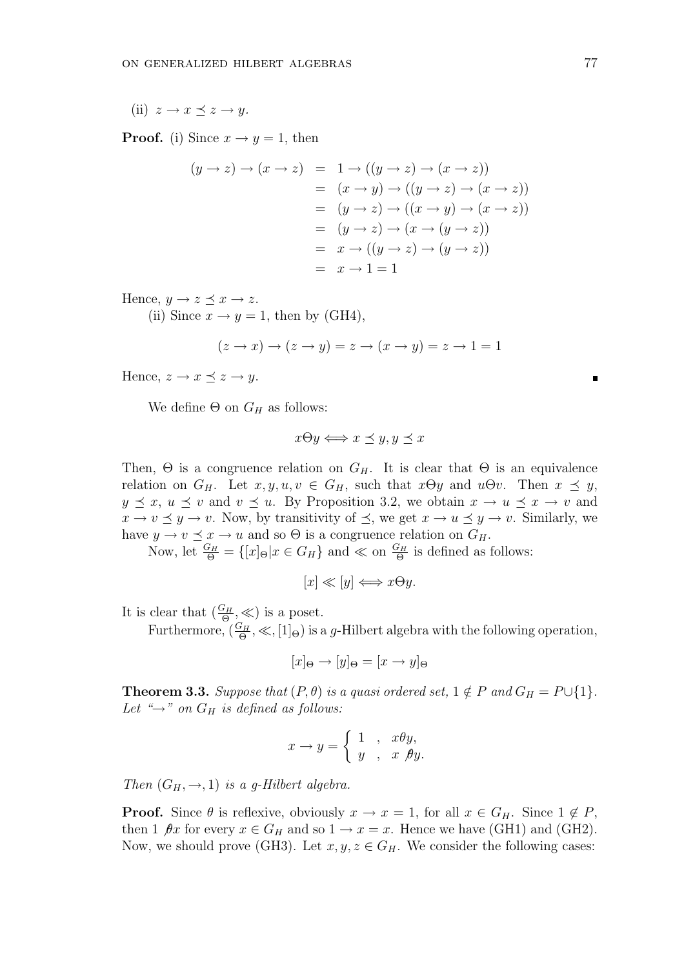(ii)  $z \to x \prec z \to y$ .

**Proof.** (i) Since  $x \rightarrow y = 1$ , then

$$
(y \to z) \to (x \to z) = 1 \to ((y \to z) \to (x \to z))
$$
  
=  $(x \to y) \to ((y \to z) \to (x \to z))$   
=  $(y \to z) \to ((x \to y) \to (x \to z))$   
=  $(y \to z) \to (x \to (y \to z))$   
=  $x \to ((y \to z) \to (y \to z))$   
=  $x \to 1 = 1$ 

Hence,  $y \to z \preceq x \to z$ .

(ii) Since  $x \to y = 1$ , then by (GH4),

$$
(z \to x) \to (z \to y) = z \to (x \to y) = z \to 1 = 1
$$

Hence,  $z \to x \preceq z \to y$ .

We define  $\Theta$  on  $G_H$  as follows:

$$
x \Theta y \Longleftrightarrow x \preceq y, y \preceq x
$$

Then,  $\Theta$  is a congruence relation on  $G_H$ . It is clear that  $\Theta$  is an equivalence relation on  $G_H$ . Let  $x, y, u, v \in G_H$ , such that  $x \Theta y$  and  $u \Theta v$ . Then  $x \preceq y$ ,  $y \preceq x, u \preceq v$  and  $v \preceq u$ . By Proposition 3.2, we obtain  $x \to u \preceq x \to v$  and  $x \to v \preceq y \to v$ . Now, by transitivity of  $\preceq$ , we get  $x \to u \preceq y \to v$ . Similarly, we have  $y \to v \preceq x \to u$  and so  $\Theta$  is a congruence relation on  $G_H$ .

Now, let  $\frac{G_H}{\Theta} = \{ [x]_{\Theta} | x \in G_H \}$  and  $\ll$  on  $\frac{G_H}{\Theta}$  is defined as follows:

$$
[x] \ll [y] \Longleftrightarrow x\Theta y.
$$

It is clear that  $(\frac{G_H}{\Theta}, \ll)$  is a poset.

Furthermore,  $(\frac{G_H}{\Theta}, \ll, [1]_{\Theta})$  is a g-Hilbert algebra with the following operation,

$$
[x]_{\Theta} \to [y]_{\Theta} = [x \to y]_{\Theta}
$$

**Theorem 3.3.** Suppose that  $(P, \theta)$  is a quasi ordered set,  $1 \notin P$  and  $G_H = P \cup \{1\}$ . Let " $\rightarrow$ " on  $G_H$  is defined as follows:

$$
x \to y = \begin{cases} 1, & x \theta y, \\ y, & x \ \theta y. \end{cases}
$$

Then  $(G_H, \rightarrow, 1)$  is a g-Hilbert algebra.

**Proof.** Since  $\theta$  is reflexive, obviously  $x \to x = 1$ , for all  $x \in G_H$ . Since  $1 \notin P$ , then 1  $\beta x$  for every  $x \in G_H$  and so  $1 \to x = x$ . Hence we have (GH1) and (GH2). Now, we should prove (GH3). Let  $x, y, z \in G_H$ . We consider the following cases: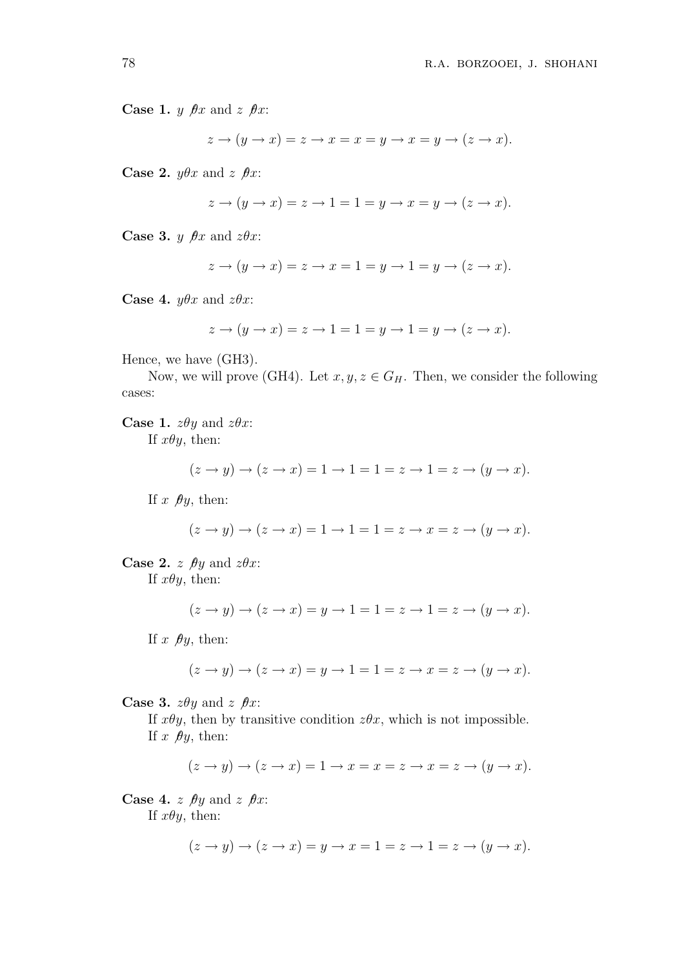**Case 1.** *y*  $\theta x$  and *z*  $\theta x$ :

 $z \rightarrow (y \rightarrow x) = z \rightarrow x = x = y \rightarrow x = y \rightarrow (z \rightarrow x).$ 

Case 2.  $y\theta x$  and  $z \theta x$ :

$$
z \to (y \to x) = z \to 1 = 1 = y \to x = y \to (z \to x).
$$

**Case 3.** *y*  $\theta x$  and  $z\theta x$ :

$$
z \to (y \to x) = z \to x = 1 = y \to 1 = y \to (z \to x).
$$

**Case 4.**  $y\theta x$  and  $z\theta x$ :

$$
z \to (y \to x) = z \to 1 = 1 = y \to 1 = y \to (z \to x).
$$

Hence, we have (GH3).

Now, we will prove (GH4). Let  $x, y, z \in G_H$ . Then, we consider the following cases:

**Case 1.**  $z\theta y$  and  $z\theta x$ : If  $x\theta y$ , then:

$$
(z \to y) \to (z \to x) = 1 \to 1 = 1 = z \to 1 = z \to (y \to x).
$$

If  $x \not\!\theta y$ , then:

$$
(z \to y) \to (z \to x) = 1 \to 1 = 1 = z \to x = z \to (y \to x).
$$

**Case 2.**  $z \nrightarrow \theta y$  and  $z \theta x$ : If  $x\theta y$ , then:

$$
(z \to y) \to (z \to x) = y \to 1 = 1 = z \to 1 = z \to (y \to x).
$$

If  $x \not\!\theta y$ , then:

$$
(z \to y) \to (z \to x) = y \to 1 = 1 = z \to x = z \to (y \to x).
$$

**Case 3.**  $z\theta y$  and  $z \theta x$ :

If  $x\theta y$ , then by transitive condition  $z\theta x$ , which is not impossible. If  $x \not\!\theta y$ , then:

$$
(z \to y) \to (z \to x) = 1 \to x = x = z \to x = z \to (y \to x).
$$

**Case 4.** z  $\hat{\beta}$ y and z  $\hat{\beta}$ x: If  $x\theta y$ , then:

$$
(z \to y) \to (z \to x) = y \to x = 1 = z \to 1 = z \to (y \to x).
$$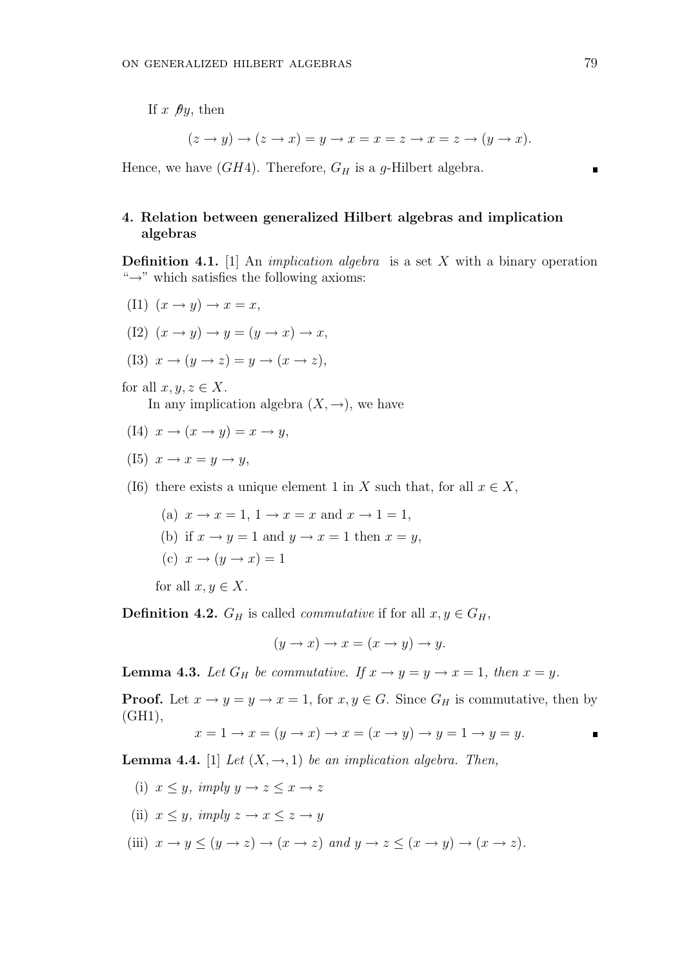If x  $\theta y$ , then

$$
(z \to y) \to (z \to x) = y \to x = x = z \to x = z \to (y \to x).
$$

Hence, we have  $(GH4)$ . Therefore,  $G_H$  is a g-Hilbert algebra.

# 4. Relation between generalized Hilbert algebras and implication algebras

**Definition 4.1.** [1] An *implication algebra* is a set X with a binary operation "→" which satisfies the following axioms:

- (I1)  $(x \rightarrow y) \rightarrow x = x$ ,
- (I2)  $(x \rightarrow y) \rightarrow y = (y \rightarrow x) \rightarrow x$ ,
- (I3)  $x \to (y \to z) = y \to (x \to z)$ ,

for all  $x, y, z \in X$ .

In any implication algebra  $(X, \rightarrow)$ , we have

- (I4)  $x \rightarrow (x \rightarrow y) = x \rightarrow y$ ,
- (I5)  $x \rightarrow x = y \rightarrow y$ ,
- (I6) there exists a unique element 1 in X such that, for all  $x \in X$ ,
	- (a)  $x \rightarrow x = 1$ ,  $1 \rightarrow x = x$  and  $x \rightarrow 1 = 1$ ,
	- (b) if  $x \to y = 1$  and  $y \to x = 1$  then  $x = y$ ,
	- (c)  $x \rightarrow (y \rightarrow x) = 1$

for all  $x, y \in X$ .

**Definition 4.2.**  $G_H$  is called *commutative* if for all  $x, y \in G_H$ ,

$$
(y \to x) \to x = (x \to y) \to y.
$$

**Lemma 4.3.** Let  $G_H$  be commutative. If  $x \to y = y \to x = 1$ , then  $x = y$ .

**Proof.** Let  $x \to y = y \to x = 1$ , for  $x, y \in G$ . Since  $G_H$  is commutative, then by (GH1),

$$
x = 1 \to x = (y \to x) \to x = (x \to y) \to y = 1 \to y = y.
$$

**Lemma 4.4.** [1] Let  $(X, \rightarrow, 1)$  be an implication algebra. Then,

- (i)  $x \leq y$ , imply  $y \to z \leq x \to z$
- (ii)  $x \leq y$ , imply  $z \to x \leq z \to y$
- (iii)  $x \to y \leq (y \to z) \to (x \to z)$  and  $y \to z \leq (x \to y) \to (x \to z)$ .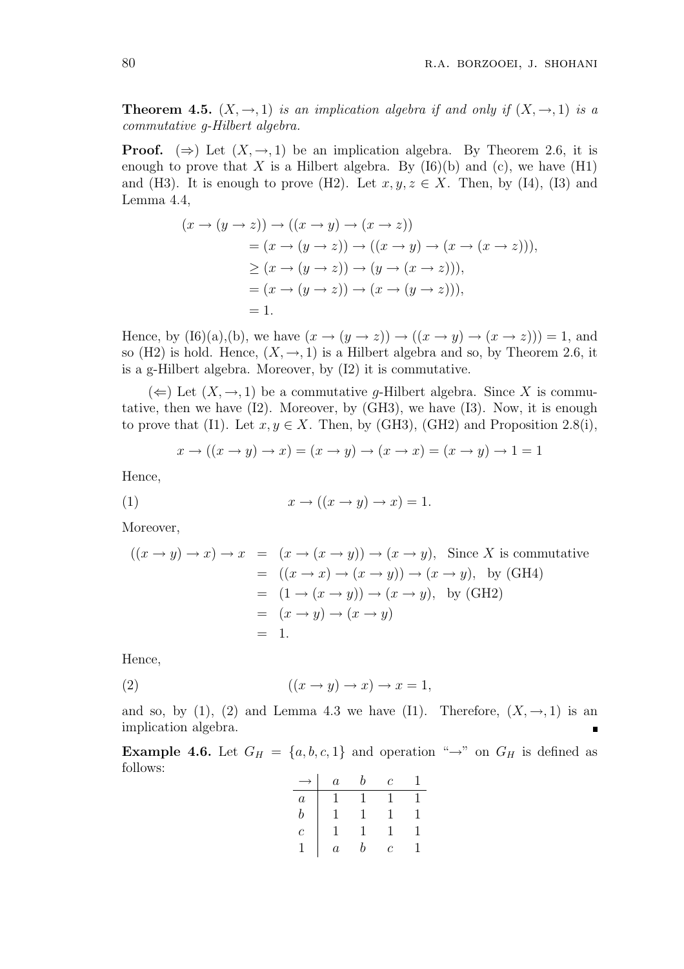**Theorem 4.5.**  $(X, \rightarrow, 1)$  is an implication algebra if and only if  $(X, \rightarrow, 1)$  is a commutative g-Hilbert algebra.

**Proof.** ( $\Rightarrow$ ) Let  $(X, \rightarrow, 1)$  be an implication algebra. By Theorem 2.6, it is enough to prove that X is a Hilbert algebra. By  $(I6)(b)$  and  $(c)$ , we have  $(H1)$ and (H3). It is enough to prove (H2). Let  $x, y, z \in X$ . Then, by (I4), (I3) and Lemma 4.4,

$$
(x \to (y \to z)) \to ((x \to y) \to (x \to z))
$$
  
=  $(x \to (y \to z)) \to ((x \to y) \to (x \to (x \to z))),$   
 $\geq (x \to (y \to z)) \to (y \to (x \to z))),$   
=  $(x \to (y \to z)) \to (x \to (y \to z))),$   
= 1.

Hence, by  $(I6)(a),(b)$ , we have  $(x \rightarrow (y \rightarrow z)) \rightarrow ((x \rightarrow y) \rightarrow (x \rightarrow z))) = 1$ , and so (H2) is hold. Hence,  $(X, \rightarrow, 1)$  is a Hilbert algebra and so, by Theorem 2.6, it is a g-Hilbert algebra. Moreover, by (I2) it is commutative.

 $(\Leftarrow)$  Let  $(X, \rightarrow, 1)$  be a commutative g-Hilbert algebra. Since X is commutative, then we have (I2). Moreover, by (GH3), we have (I3). Now, it is enough to prove that (I1). Let  $x, y \in X$ . Then, by (GH3), (GH2) and Proposition 2.8(i),

$$
x \to ((x \to y) \to x) = (x \to y) \to (x \to x) = (x \to y) \to 1 = 1
$$

Hence,

$$
(1) \t\t x \to ((x \to y) \to x) = 1.
$$

Moreover,

$$
((x \rightarrow y) \rightarrow x) \rightarrow x = (x \rightarrow (x \rightarrow y)) \rightarrow (x \rightarrow y),
$$
 Since X is commutative  
=  $((x \rightarrow x) \rightarrow (x \rightarrow y)) \rightarrow (x \rightarrow y),$  by (GH4)  
=  $(1 \rightarrow (x \rightarrow y)) \rightarrow (x \rightarrow y),$  by (GH2)  
=  $(x \rightarrow y) \rightarrow (x \rightarrow y)$   
= 1.

Hence,

$$
(2) \qquad \qquad ((x \to y) \to x) \to x = 1,
$$

and so, by (1), (2) and Lemma 4.3 we have (I1). Therefore,  $(X, \rightarrow, 1)$  is an implication algebra.

**Example 4.6.** Let  $G_H = \{a, b, c, 1\}$  and operation " $\rightarrow$ " on  $G_H$  is defined as follows:

|                  | $\overline{a}$ | b            | $\mathcal{C}$ |   |
|------------------|----------------|--------------|---------------|---|
| $\boldsymbol{a}$ | 1              | $\mathbf{I}$ | I.            |   |
| b                |                | I.           | 1             | 1 |
| $\overline{c}$   | 1              | 1            | 1             | ı |
|                  | $\it a$        | b            | Ċ             |   |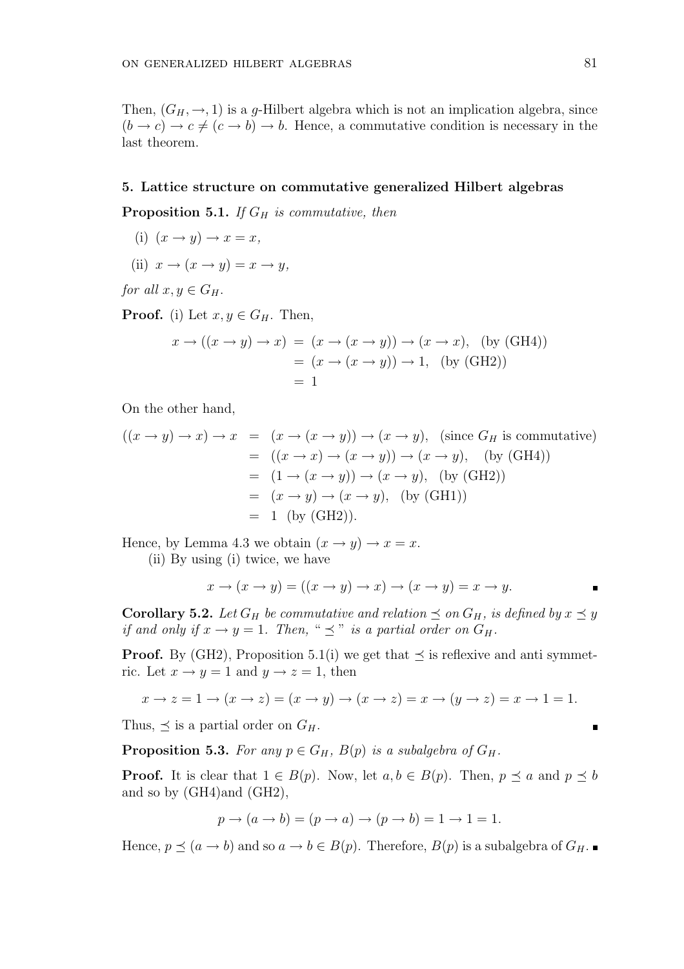Then,  $(G_H, \rightarrow, 1)$  is a g-Hilbert algebra which is not an implication algebra, since  $(b \to c) \to c \neq (c \to b) \to b$ . Hence, a commutative condition is necessary in the last theorem.

### 5. Lattice structure on commutative generalized Hilbert algebras

**Proposition 5.1.** If  $G_H$  is commutative, then

- (i)  $(x \rightarrow y) \rightarrow x = x$ ,
- (ii)  $x \to (x \to y) = x \to y$ ,

for all  $x, y \in G_H$ .

**Proof.** (i) Let  $x, y \in G_H$ . Then,

$$
x \to ((x \to y) \to x) = (x \to (x \to y)) \to (x \to x), \text{ (by (GH4))}
$$

$$
= (x \to (x \to y)) \to 1, \text{ (by (GH2))}
$$

$$
= 1
$$

On the other hand,

$$
((x \rightarrow y) \rightarrow x) \rightarrow x = (x \rightarrow (x \rightarrow y)) \rightarrow (x \rightarrow y), \text{ (since } G_H \text{ is commutative)}
$$
  
= 
$$
((x \rightarrow x) \rightarrow (x \rightarrow y)) \rightarrow (x \rightarrow y), \text{ (by (GH4))}
$$
  
= 
$$
(1 \rightarrow (x \rightarrow y)) \rightarrow (x \rightarrow y), \text{ (by (GH2))}
$$
  
= 
$$
(x \rightarrow y) \rightarrow (x \rightarrow y), \text{ (by (GH1))}
$$
  
= 1 (by (GH2)).

Hence, by Lemma 4.3 we obtain  $(x \rightarrow y) \rightarrow x = x$ .

(ii) By using (i) twice, we have

$$
x \to (x \to y) = ((x \to y) \to x) \to (x \to y) = x \to y.
$$

**Corollary 5.2.** Let  $G_H$  be commutative and relation  $\preceq$  on  $G_H$ , is defined by  $x \preceq y$ if and only if  $x \to y = 1$ . Then, "  $\preceq$ " is a partial order on  $G_H$ .

**Proof.** By (GH2), Proposition 5.1(i) we get that  $\preceq$  is reflexive and anti symmetric. Let  $x \to y = 1$  and  $y \to z = 1$ , then

$$
x \to z = 1 \to (x \to z) = (x \to y) \to (x \to z) = x \to (y \to z) = x \to 1 = 1.
$$

Thus,  $\prec$  is a partial order on  $G_H$ .

**Proposition 5.3.** For any  $p \in G_H$ ,  $B(p)$  is a subalgebra of  $G_H$ .

**Proof.** It is clear that  $1 \in B(p)$ . Now, let  $a, b \in B(p)$ . Then,  $p \preceq a$  and  $p \preceq b$ and so by (GH4)and (GH2),

$$
p \to (a \to b) = (p \to a) \to (p \to b) = 1 \to 1 = 1.
$$

Hence,  $p \preceq (a \to b)$  and so  $a \to b \in B(p)$ . Therefore,  $B(p)$  is a subalgebra of  $G_H$ .

 $\blacksquare$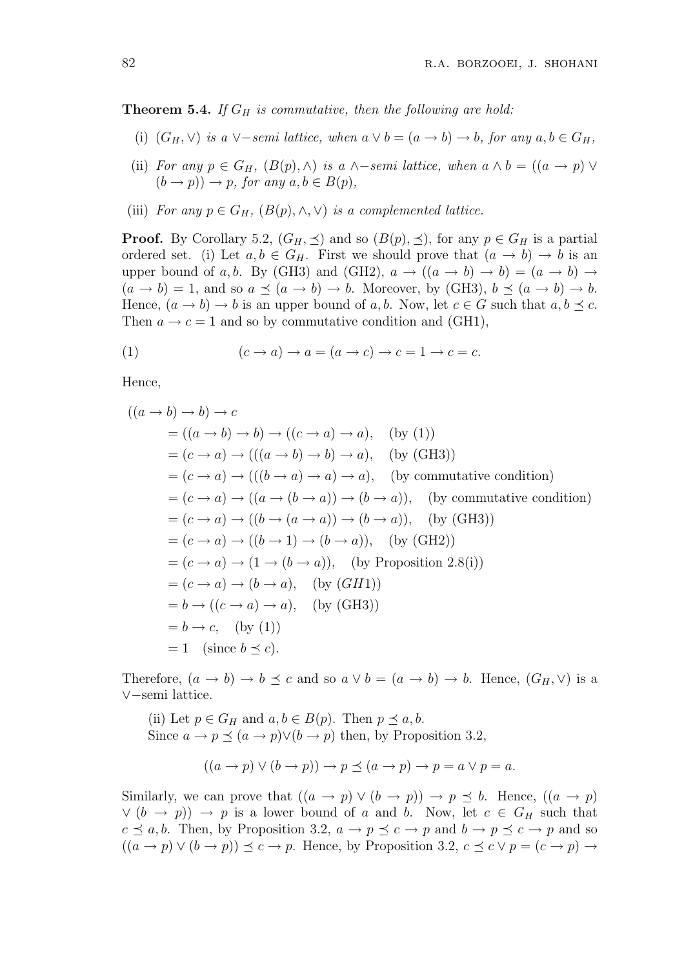**Theorem 5.4.** If  $G_H$  is commutative, then the following are hold:

- (i)  $(G_H, \vee)$  is a  $\vee$ -semi lattice, when  $a \vee b = (a \rightarrow b) \rightarrow b$ , for any  $a, b \in G_H$ ,
- (ii) For any  $p \in G_H$ ,  $(B(p), \wedge)$  is a  $\wedge$ -semi lattice, when  $a \wedge b = ((a \rightarrow p) \vee$  $(b \rightarrow p)) \rightarrow p$ , for any  $a, b \in B(p)$ ,
- (iii) For any  $p \in G_H$ ,  $(B(p), \wedge, \vee)$  is a complemented lattice.

**Proof.** By Corollary 5.2,  $(G_H, \preceq)$  and so  $(B(p), \preceq)$ , for any  $p \in G_H$  is a partial ordered set. (i) Let  $a, b \in G_H$ . First we should prove that  $(a \to b) \to b$  is an upper bound of a, b. By (GH3) and (GH2),  $a \rightarrow ((a \rightarrow b) \rightarrow b) = (a \rightarrow b) \rightarrow$  $(a \rightarrow b) = 1$ , and so  $a \preceq (a \rightarrow b) \rightarrow b$ . Moreover, by (GH3),  $b \preceq (a \rightarrow b) \rightarrow b$ . Hence,  $(a \to b) \to b$  is an upper bound of a, b. Now, let  $c \in G$  such that  $a, b \preceq c$ . Then  $a \rightarrow c = 1$  and so by commutative condition and (GH1),

(1) 
$$
(c \to a) \to a = (a \to c) \to c = 1 \to c = c.
$$

Hence,

$$
((a \rightarrow b) \rightarrow b) \rightarrow c
$$
  
=  $((a \rightarrow b) \rightarrow b) \rightarrow ((c \rightarrow a) \rightarrow a),$  (by (1))  
=  $(c \rightarrow a) \rightarrow (((a \rightarrow b) \rightarrow b) \rightarrow a),$  (by (GH3))  
=  $(c \rightarrow a) \rightarrow (((b \rightarrow a) \rightarrow a) \rightarrow a),$  (by commutative condition)  
=  $(c \rightarrow a) \rightarrow ((a \rightarrow (b \rightarrow a)) \rightarrow (b \rightarrow a)),$  (by commutative condition)  
=  $(c \rightarrow a) \rightarrow ((b \rightarrow (a \rightarrow a)) \rightarrow (b \rightarrow a)),$  (by (GH3))  
=  $(c \rightarrow a) \rightarrow ((b \rightarrow 1) \rightarrow (b \rightarrow a)),$  (by (GH2))  
=  $(c \rightarrow a) \rightarrow (1 \rightarrow (b \rightarrow a)),$  (by Proposition 2.8(i))  
=  $(c \rightarrow a) \rightarrow (b \rightarrow a),$  (by (GH1))  
=  $b \rightarrow ((c \rightarrow a) \rightarrow a),$  (by (GH3))  
=  $b \rightarrow c,$  (by (1))  
= 1 (since  $b \preceq c$ ).

Therefore,  $(a \to b) \to b \preceq c$  and so  $a \lor b = (a \to b) \to b$ . Hence,  $(G_H, \lor)$  is a ∨−semi lattice.

(ii) Let  $p \in G_H$  and  $a, b \in B(p)$ . Then  $p \preceq a, b$ . Since  $a \to p \preceq (a \to p) \vee (b \to p)$  then, by Proposition 3.2,

$$
((a \to p) \lor (b \to p)) \to p \preceq (a \to p) \to p = a \lor p = a.
$$

Similarly, we can prove that  $((a \rightarrow p) \lor (b \rightarrow p)) \rightarrow p \preceq b$ . Hence,  $((a \rightarrow p)$  $\vee (b \rightarrow p)$   $\rightarrow p$  is a lower bound of a and b. Now, let  $c \in G_H$  such that  $c \preceq a, b$ . Then, by Proposition 3.2,  $a \to p \preceq c \to p$  and  $b \to p \preceq c \to p$  and so  $((a \rightarrow p) \lor (b \rightarrow p)) \preceq c \rightarrow p$ . Hence, by Proposition 3.2,  $c \preceq c \lor p = (c \rightarrow p) \rightarrow p$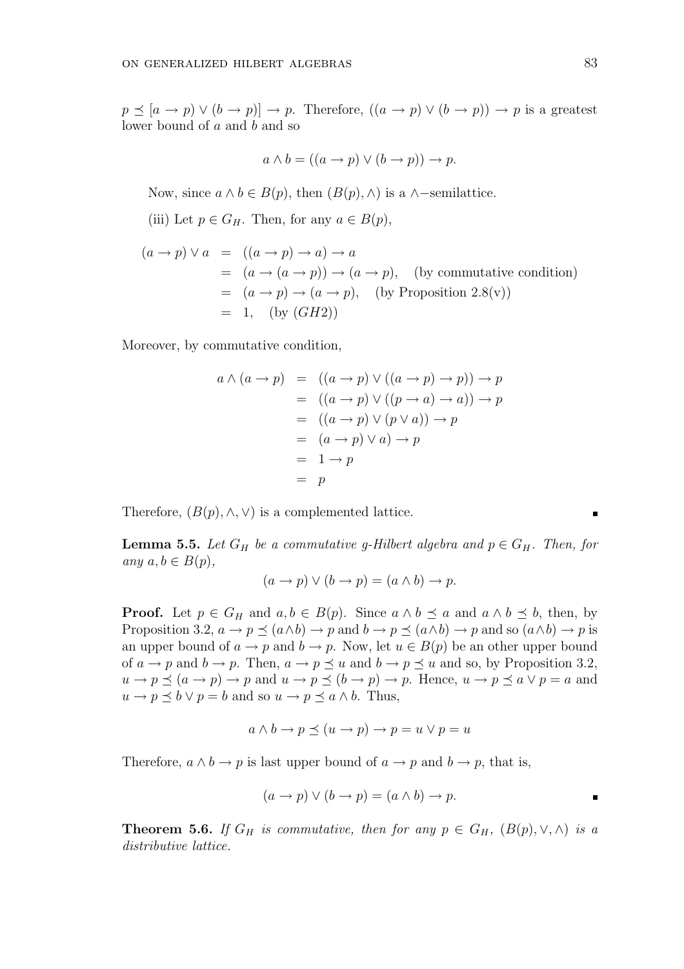$p \preceq [a \to p) \vee (b \to p)] \to p$ . Therefore,  $((a \to p) \vee (b \to p)) \to p$  is a greatest lower bound of a and b and so

$$
a \wedge b = ((a \to p) \vee (b \to p)) \to p.
$$

Now, since  $a \wedge b \in B(p)$ , then  $(B(p), \wedge)$  is a  $\wedge$ -semilattice.

(iii) Let  $p \in G_H$ . Then, for any  $a \in B(p)$ ,

$$
(a \to p) \lor a = ((a \to p) \to a) \to a
$$
  
=  $(a \to (a \to p)) \to (a \to p)$ , (by commutative condition)  
=  $(a \to p) \to (a \to p)$ , (by Proposition 2.8(v))  
= 1, (by *(GH2)*)

Moreover, by commutative condition,

$$
a \wedge (a \rightarrow p) = ((a \rightarrow p) \vee ((a \rightarrow p) \rightarrow p)) \rightarrow p
$$
  
=  $((a \rightarrow p) \vee ((p \rightarrow a) \rightarrow a)) \rightarrow p$   
=  $((a \rightarrow p) \vee (p \vee a)) \rightarrow p$   
=  $(a \rightarrow p) \vee a) \rightarrow p$   
=  $1 \rightarrow p$   
=  $p$ 

Therefore,  $(B(p), \wedge, \vee)$  is a complemented lattice.

**Lemma 5.5.** Let  $G_H$  be a commutative g-Hilbert algebra and  $p \in G_H$ . Then, for any  $a, b \in B(p)$ ,

$$
(a \to p) \lor (b \to p) = (a \land b) \to p.
$$

**Proof.** Let  $p \in G_H$  and  $a, b \in B(p)$ . Since  $a \wedge b \preceq a$  and  $a \wedge b \preceq b$ , then, by Proposition 3.2,  $a \to p \preceq (a \wedge b) \to p$  and  $b \to p \preceq (a \wedge b) \to p$  and so  $(a \wedge b) \to p$  is an upper bound of  $a \to p$  and  $b \to p$ . Now, let  $u \in B(p)$  be an other upper bound of  $a \rightarrow p$  and  $b \rightarrow p$ . Then,  $a \rightarrow p \preceq u$  and  $b \rightarrow p \preceq u$  and so, by Proposition 3.2,  $u \to p \preceq (a \to p) \to p$  and  $u \to p \preceq (b \to p) \to p$ . Hence,  $u \to p \preceq a \vee p = a$  and  $u \to p \preceq b \vee p = b$  and so  $u \to p \preceq a \wedge b$ . Thus,

$$
a \land b \to p \preceq (u \to p) \to p = u \lor p = u
$$

Therefore,  $a \wedge b \rightarrow p$  is last upper bound of  $a \rightarrow p$  and  $b \rightarrow p$ , that is,

$$
(a \to p) \lor (b \to p) = (a \land b) \to p.
$$

**Theorem 5.6.** If  $G_H$  is commutative, then for any  $p \in G_H$ ,  $(B(p), \vee, \wedge)$  is a distributive lattice.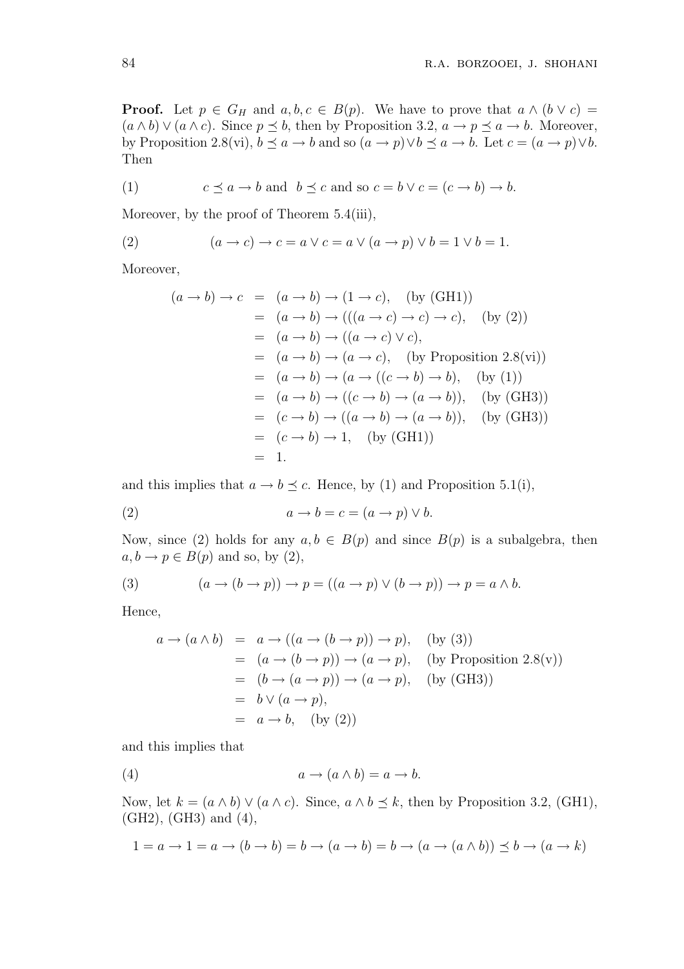**Proof.** Let  $p \in G_H$  and  $a, b, c \in B(p)$ . We have to prove that  $a \wedge (b \vee c) =$  $(a \wedge b) \vee (a \wedge c)$ . Since  $p \preceq b$ , then by Proposition 3.2,  $a \rightarrow p \preceq a \rightarrow b$ . Moreover, by Proposition 2.8(vi),  $b \preceq a \to b$  and so  $(a \to p) \lor b \preceq a \to b$ . Let  $c = (a \to p) \lor b$ . Then

(1) 
$$
c \preceq a \to b
$$
 and  $b \preceq c$  and so  $c = b \lor c = (c \to b) \to b$ .

Moreover, by the proof of Theorem 5.4(iii),

(2) 
$$
(a \rightarrow c) \rightarrow c = a \lor c = a \lor (a \rightarrow p) \lor b = 1 \lor b = 1.
$$

Moreover,

$$
(a \rightarrow b) \rightarrow c = (a \rightarrow b) \rightarrow (1 \rightarrow c), \quad \text{(by (GH1))}
$$
  
\n
$$
= (a \rightarrow b) \rightarrow (((a \rightarrow c) \rightarrow c) \rightarrow c), \quad \text{(by (2))}
$$
  
\n
$$
= (a \rightarrow b) \rightarrow ((a \rightarrow c) \lor c),
$$
  
\n
$$
= (a \rightarrow b) \rightarrow (a \rightarrow c), \quad \text{(by Proposition 2.8(vi))}
$$
  
\n
$$
= (a \rightarrow b) \rightarrow (a \rightarrow ((c \rightarrow b) \rightarrow b), \quad \text{(by (1))}
$$
  
\n
$$
= (a \rightarrow b) \rightarrow ((c \rightarrow b) \rightarrow (a \rightarrow b)), \quad \text{(by (GH3))}
$$
  
\n
$$
= (c \rightarrow b) \rightarrow ((a \rightarrow b) \rightarrow (a \rightarrow b)), \quad \text{(by (GH3))}
$$
  
\n
$$
= (c \rightarrow b) \rightarrow 1, \quad \text{(by (GH1))}
$$
  
\n
$$
= 1.
$$

and this implies that  $a \to b \preceq c$ . Hence, by (1) and Proposition 5.1(i),

(2) 
$$
a \to b = c = (a \to p) \lor b.
$$

Now, since (2) holds for any  $a, b \in B(p)$  and since  $B(p)$  is a subalgebra, then  $a, b \rightarrow p \in B(p)$  and so, by (2),

(3) 
$$
(a \to (b \to p)) \to p = ((a \to p) \lor (b \to p)) \to p = a \land b.
$$

Hence,

$$
a \rightarrow (a \land b) = a \rightarrow ((a \rightarrow (b \rightarrow p)) \rightarrow p),
$$
 (by (3))  
\n
$$
= (a \rightarrow (b \rightarrow p)) \rightarrow (a \rightarrow p),
$$
 (by Proposition 2.8(v))  
\n
$$
= (b \rightarrow (a \rightarrow p)) \rightarrow (a \rightarrow p),
$$
 (by (GH3))  
\n
$$
= b \lor (a \rightarrow p),
$$
  
\n
$$
= a \rightarrow b,
$$
 (by (2))

and this implies that

(4) 
$$
a \to (a \land b) = a \to b.
$$

Now, let  $k = (a \wedge b) \vee (a \wedge c)$ . Since,  $a \wedge b \preceq k$ , then by Proposition 3.2, (GH1), (GH2), (GH3) and (4),

$$
1 = a \to 1 = a \to (b \to b) = b \to (a \to b) = b \to (a \to (a \land b)) \le b \to (a \to k)
$$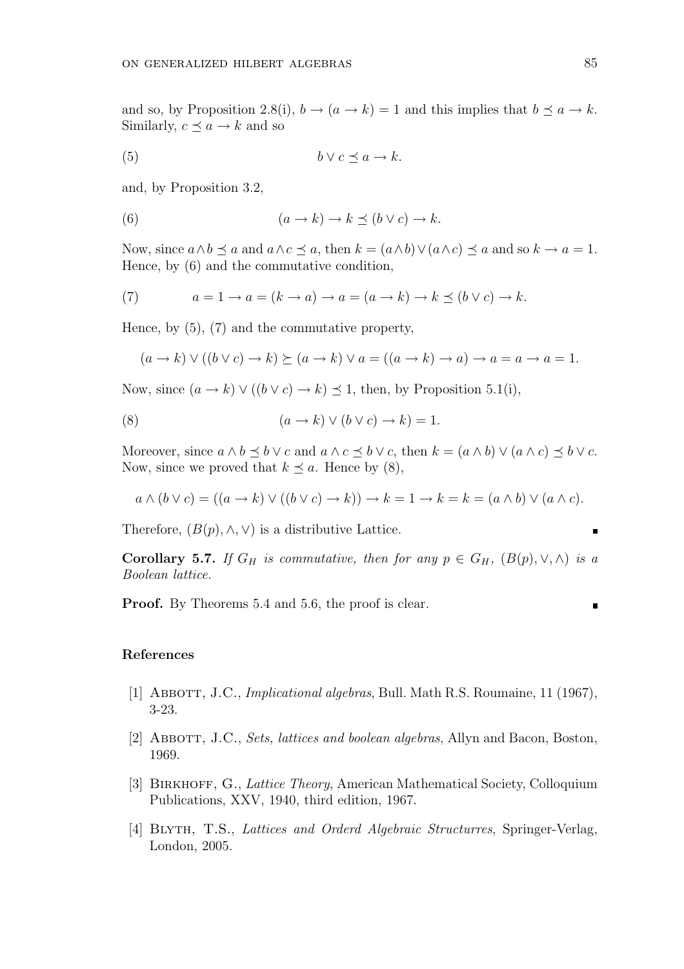and so, by Proposition 2.8(i),  $b \rightarrow (a \rightarrow k) = 1$  and this implies that  $b \preceq a \rightarrow k$ . Similarly,  $c \preceq a \rightarrow k$  and so

$$
(5) \t b \lor c \preceq a \to k.
$$

and, by Proposition 3.2,

(6) 
$$
(a \to k) \to k \preceq (b \lor c) \to k.
$$

Now, since  $a \wedge b \preceq a$  and  $a \wedge c \preceq a$ , then  $k = (a \wedge b) \vee (a \wedge c) \preceq a$  and so  $k \to a = 1$ . Hence, by (6) and the commutative condition,

(7) 
$$
a = 1 \rightarrow a = (k \rightarrow a) \rightarrow a = (a \rightarrow k) \rightarrow k \preceq (b \vee c) \rightarrow k.
$$

Hence, by (5), (7) and the commutative property,

$$
(a \to k) \lor ((b \lor c) \to k) \succeq (a \to k) \lor a = ((a \to k) \to a) \to a = a \to a = 1.
$$

Now, since  $(a \to k) \lor ((b \lor c) \to k) \leq 1$ , then, by Proposition 5.1(i),

(8) 
$$
(a \to k) \lor (b \lor c) \to k) = 1.
$$

Moreover, since  $a \wedge b \preceq b \vee c$  and  $a \wedge c \preceq b \vee c$ , then  $k = (a \wedge b) \vee (a \wedge c) \preceq b \vee c$ . Now, since we proved that  $k \preceq a$ . Hence by (8),

$$
a \wedge (b \vee c) = ((a \rightarrow k) \vee ((b \vee c) \rightarrow k)) \rightarrow k = 1 \rightarrow k = k = (a \wedge b) \vee (a \wedge c).
$$

Therefore,  $(B(p), \wedge, \vee)$  is a distributive Lattice.

Corollary 5.7. If  $G_H$  is commutative, then for any  $p \in G_H$ ,  $(B(p), \vee, \wedge)$  is a Boolean lattice.

Proof. By Theorems 5.4 and 5.6, the proof is clear.

#### References

- [1] Abbott, J.C., Implicational algebras, Bull. Math R.S. Roumaine, 11 (1967), 3-23.
- [2] ABBOTT, J.C., Sets, lattices and boolean algebras, Allyn and Bacon, Boston, 1969.
- [3] BIRKHOFF, G., *Lattice Theory*, American Mathematical Society, Colloquium Publications, XXV, 1940, third edition, 1967.
- [4] Blyth, T.S., Lattices and Orderd Algebraic Structurres, Springer-Verlag, London, 2005.

п